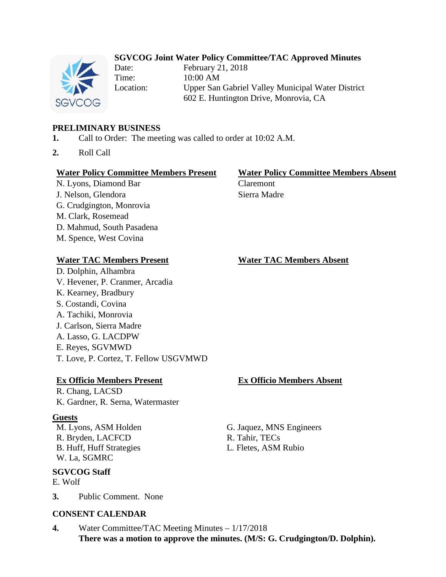# **SGVCOG Joint Water Policy Committee/TAC Approved Minutes**



Date: February 21, 2018 Time: 10:00 AM Location: Upper San Gabriel Valley Municipal Water District 602 E. Huntington Drive, Monrovia, CA

# **PRELIMINARY BUSINESS**

- **1.** Call to Order: The meeting was called to order at 10:02 A.M.
- **2.** Roll Call

### **Water Policy Committee Members Present Water Policy Committee Members Absent**

N. Lyons, Diamond Bar Claremont J. Nelson, Glendora Sierra Madre G. Crudgington, Monrovia M. Clark, Rosemead D. Mahmud, South Pasadena M. Spence, West Covina

## **Water TAC Members Present Water TAC Members Absent**

D. Dolphin, Alhambra V. Hevener, P. Cranmer, Arcadia K. Kearney, Bradbury S. Costandi, Covina A. Tachiki, Monrovia J. Carlson, Sierra Madre A. Lasso, G. LACDPW E. Reyes, SGVMWD

T. Love, P. Cortez, T. Fellow USGVMWD

## **Ex Officio Members Present Ex Officio Members Absent**

R. Chang, LACSD K. Gardner, R. Serna, Watermaster

## **Guests**

R. Bryden, LACFCD R. Tahir, TECs B. Huff, Huff Strategies L. Fletes, ASM Rubio W. La, SGMRC

# **SGVCOG Staff**

E. Wolf

**3.** Public Comment. None

## **CONSENT CALENDAR**

**4.** Water Committee/TAC Meeting Minutes – 1/17/2018 **There was a motion to approve the minutes. (M/S: G. Crudgington/D. Dolphin).**

M. Lyons, ASM Holden G. Jaquez, MNS Engineers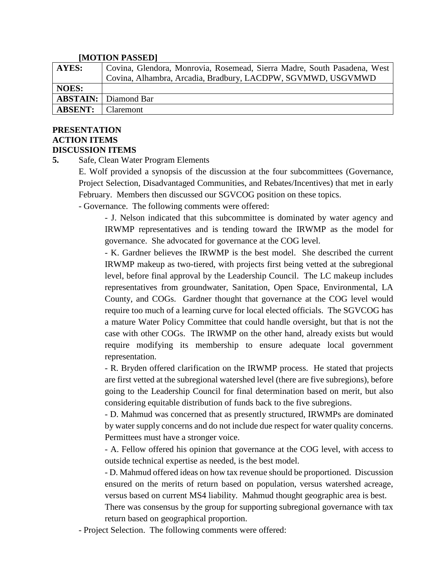### **[MOTION PASSED]**

| <b>AYES:</b>   | <sup>1</sup> Covina, Glendora, Monrovia, Rosemead, Sierra Madre, South Pasadena, West |
|----------------|---------------------------------------------------------------------------------------|
|                | Covina, Alhambra, Arcadia, Bradbury, LACDPW, SGVMWD, USGVMWD                          |
| NOES:          |                                                                                       |
|                | <b>ABSTAIN:</b> Diamond Bar                                                           |
| <b>ABSENT:</b> | <b>Claremont</b>                                                                      |

## **PRESENTATION ACTION ITEMS DISCUSSION ITEMS**

**5.** Safe, Clean Water Program Elements

E. Wolf provided a synopsis of the discussion at the four subcommittees (Governance, Project Selection, Disadvantaged Communities, and Rebates/Incentives) that met in early February. Members then discussed our SGVCOG position on these topics.

- Governance. The following comments were offered:

- J. Nelson indicated that this subcommittee is dominated by water agency and IRWMP representatives and is tending toward the IRWMP as the model for governance. She advocated for governance at the COG level.

- K. Gardner believes the IRWMP is the best model. She described the current IRWMP makeup as two-tiered, with projects first being vetted at the subregional level, before final approval by the Leadership Council. The LC makeup includes representatives from groundwater, Sanitation, Open Space, Environmental, LA County, and COGs. Gardner thought that governance at the COG level would require too much of a learning curve for local elected officials. The SGVCOG has a mature Water Policy Committee that could handle oversight, but that is not the case with other COGs. The IRWMP on the other hand, already exists but would require modifying its membership to ensure adequate local government representation.

- R. Bryden offered clarification on the IRWMP process. He stated that projects are first vetted at the subregional watershed level (there are five subregions), before going to the Leadership Council for final determination based on merit, but also considering equitable distribution of funds back to the five subregions.

- D. Mahmud was concerned that as presently structured, IRWMPs are dominated by water supply concerns and do not include due respect for water quality concerns. Permittees must have a stronger voice.

- A. Fellow offered his opinion that governance at the COG level, with access to outside technical expertise as needed, is the best model.

- D. Mahmud offered ideas on how tax revenue should be proportioned. Discussion ensured on the merits of return based on population, versus watershed acreage, versus based on current MS4 liability. Mahmud thought geographic area is best.

There was consensus by the group for supporting subregional governance with tax return based on geographical proportion.

- Project Selection. The following comments were offered: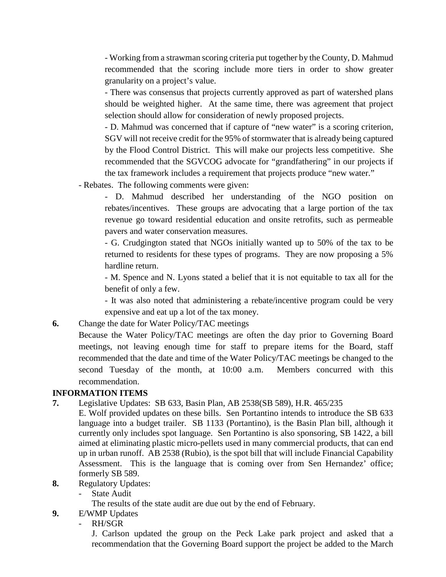- Working from a strawman scoring criteria put together by the County, D. Mahmud recommended that the scoring include more tiers in order to show greater granularity on a project's value.

- There was consensus that projects currently approved as part of watershed plans should be weighted higher. At the same time, there was agreement that project selection should allow for consideration of newly proposed projects.

- D. Mahmud was concerned that if capture of "new water" is a scoring criterion, SGV will not receive credit for the 95% of stormwater that is already being captured by the Flood Control District. This will make our projects less competitive. She recommended that the SGVCOG advocate for "grandfathering" in our projects if the tax framework includes a requirement that projects produce "new water."

- Rebates. The following comments were given:

- D. Mahmud described her understanding of the NGO position on rebates/incentives. These groups are advocating that a large portion of the tax revenue go toward residential education and onsite retrofits, such as permeable pavers and water conservation measures.

- G. Crudgington stated that NGOs initially wanted up to 50% of the tax to be returned to residents for these types of programs. They are now proposing a 5% hardline return.

- M. Spence and N. Lyons stated a belief that it is not equitable to tax all for the benefit of only a few.

- It was also noted that administering a rebate/incentive program could be very expensive and eat up a lot of the tax money.

**6.** Change the date for Water Policy/TAC meetings

Because the Water Policy/TAC meetings are often the day prior to Governing Board meetings, not leaving enough time for staff to prepare items for the Board, staff recommended that the date and time of the Water Policy/TAC meetings be changed to the second Tuesday of the month, at 10:00 a.m. Members concurred with this recommendation.

# **INFORMATION ITEMS**

- **7.** Legislative Updates: SB 633, Basin Plan, AB 2538(SB 589), H.R. 465/235
- E. Wolf provided updates on these bills. Sen Portantino intends to introduce the SB 633 language into a budget trailer. SB 1133 (Portantino), is the Basin Plan bill, although it currently only includes spot language. Sen Portantino is also sponsoring, SB 1422, a bill aimed at eliminating plastic micro-pellets used in many commercial products, that can end up in urban runoff. AB 2538 (Rubio), is the spot bill that will include Financial Capability Assessment. This is the language that is coming over from Sen Hernandez' office; formerly SB 589.
- **8.** Regulatory Updates:
	- State Audit
		- The results of the state audit are due out by the end of February.
- **9.** E/WMP Updates
	- RH/SGR

J. Carlson updated the group on the Peck Lake park project and asked that a recommendation that the Governing Board support the project be added to the March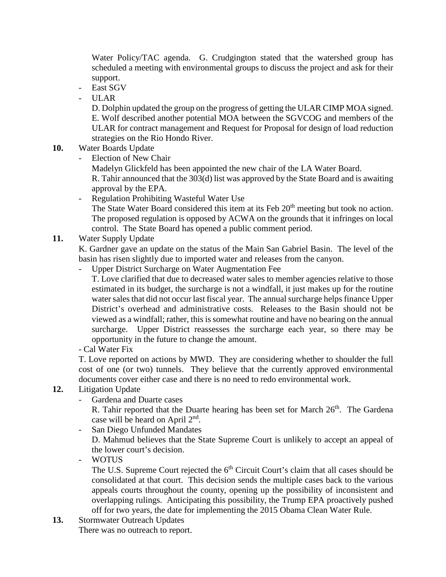Water Policy/TAC agenda. G. Crudgington stated that the watershed group has scheduled a meeting with environmental groups to discuss the project and ask for their support.

- East SGV
- $-$  ULAR

D. Dolphin updated the group on the progress of getting the ULAR CIMP MOA signed. E. Wolf described another potential MOA between the SGVCOG and members of the ULAR for contract management and Request for Proposal for design of load reduction strategies on the Rio Hondo River.

- **10.** Water Boards Update
	- Election of New Chair
		- Madelyn Glickfeld has been appointed the new chair of the LA Water Board.

R. Tahir announced that the 303(d) list was approved by the State Board and is awaiting approval by the EPA.

- Regulation Prohibiting Wasteful Water Use The State Water Board considered this item at its Feb 20<sup>th</sup> meeting but took no action. The proposed regulation is opposed by ACWA on the grounds that it infringes on local control. The State Board has opened a public comment period.

# **11.** Water Supply Update

K. Gardner gave an update on the status of the Main San Gabriel Basin. The level of the basin has risen slightly due to imported water and releases from the canyon.

- Upper District Surcharge on Water Augmentation Fee
	- T. Love clarified that due to decreased water sales to member agencies relative to those estimated in its budget, the surcharge is not a windfall, it just makes up for the routine water sales that did not occur last fiscal year. The annual surcharge helps finance Upper District's overhead and administrative costs. Releases to the Basin should not be viewed as a windfall; rather, this is somewhat routine and have no bearing on the annual surcharge. Upper District reassesses the surcharge each year, so there may be opportunity in the future to change the amount.
- Cal Water Fix

T. Love reported on actions by MWD. They are considering whether to shoulder the full cost of one (or two) tunnels. They believe that the currently approved environmental documents cover either case and there is no need to redo environmental work.

# **12.** Litigation Update

- Gardena and Duarte cases

R. Tahir reported that the Duarte hearing has been set for March  $26<sup>th</sup>$ . The Gardena case will be heard on April 2nd.

- San Diego Unfunded Mandates

D. Mahmud believes that the State Supreme Court is unlikely to accept an appeal of the lower court's decision.

- WOTUS

The U.S. Supreme Court rejected the  $6<sup>th</sup>$  Circuit Court's claim that all cases should be consolidated at that court. This decision sends the multiple cases back to the various appeals courts throughout the county, opening up the possibility of inconsistent and overlapping rulings. Anticipating this possibility, the Trump EPA proactively pushed off for two years, the date for implementing the 2015 Obama Clean Water Rule.

**13.** Stormwater Outreach Updates There was no outreach to report.